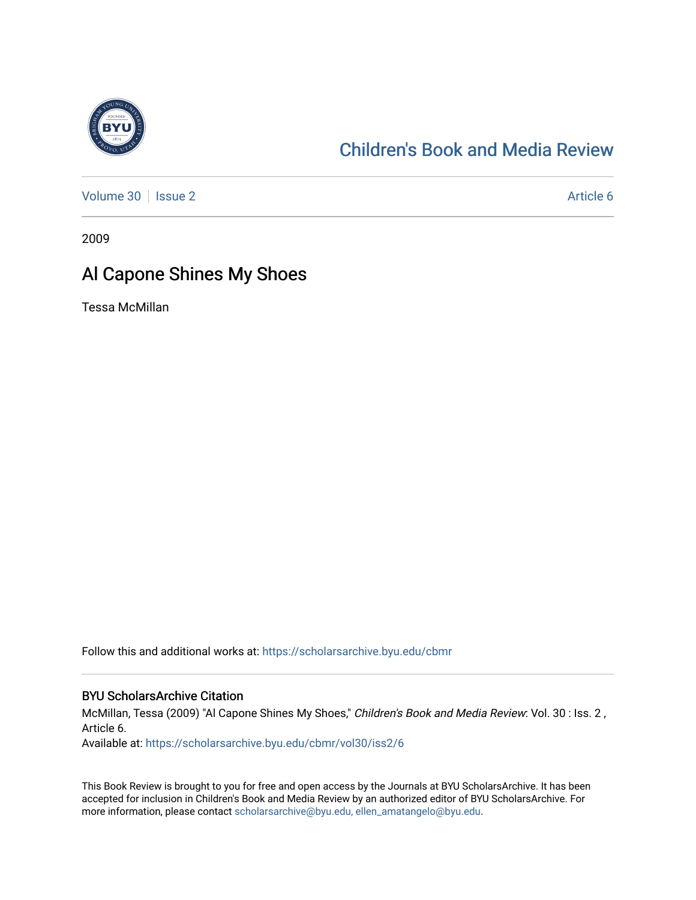

## [Children's Book and Media Review](https://scholarsarchive.byu.edu/cbmr)

[Volume 30](https://scholarsarchive.byu.edu/cbmr/vol30) | [Issue 2](https://scholarsarchive.byu.edu/cbmr/vol30/iss2) Article 6

2009

## Al Capone Shines My Shoes

Tessa McMillan

Follow this and additional works at: [https://scholarsarchive.byu.edu/cbmr](https://scholarsarchive.byu.edu/cbmr?utm_source=scholarsarchive.byu.edu%2Fcbmr%2Fvol30%2Fiss2%2F6&utm_medium=PDF&utm_campaign=PDFCoverPages) 

## BYU ScholarsArchive Citation

McMillan, Tessa (2009) "Al Capone Shines My Shoes," Children's Book and Media Review: Vol. 30 : Iss. 2 , Article 6.

Available at: [https://scholarsarchive.byu.edu/cbmr/vol30/iss2/6](https://scholarsarchive.byu.edu/cbmr/vol30/iss2/6?utm_source=scholarsarchive.byu.edu%2Fcbmr%2Fvol30%2Fiss2%2F6&utm_medium=PDF&utm_campaign=PDFCoverPages) 

This Book Review is brought to you for free and open access by the Journals at BYU ScholarsArchive. It has been accepted for inclusion in Children's Book and Media Review by an authorized editor of BYU ScholarsArchive. For more information, please contact [scholarsarchive@byu.edu, ellen\\_amatangelo@byu.edu.](mailto:scholarsarchive@byu.edu,%20ellen_amatangelo@byu.edu)